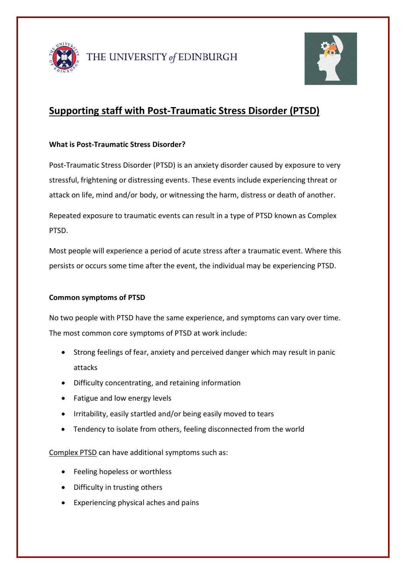



# **Supporting staff with Post-Traumatic Stress Disorder (PTSD)**

## **What is Post-Traumatic Stress Disorder?**

Post-Traumatic Stress Disorder (PTSD) is an anxiety disorder caused by exposure to very stressful, frightening or distressing events. These events include experiencing threat or attack on life, mind and/or body, or witnessing the harm, distress or death of another.

Repeated exposure to traumatic events can result in a type of PTSD known as Complex PTSD.

Most people will experience a period of acute stress after a traumatic event. Where this persists or occurs some time after the event, the individual may be experiencing PTSD.

## **Common symptoms of PTSD**

No two people with PTSD have the same experience, and symptoms can vary over time. The most common core symptoms of PTSD at work include:

- Strong feelings of fear, anxiety and perceived danger which may result in panic attacks
- Difficulty concentrating, and retaining information
- Fatigue and low energy levels
- Irritability, easily startled and/or being easily moved to tears
- Tendency to isolate from others, feeling disconnected from the world

Complex PTSD can have additional symptoms such as:

- Feeling hopeless or worthless
- Difficulty in trusting others
- Experiencing physical aches and pains